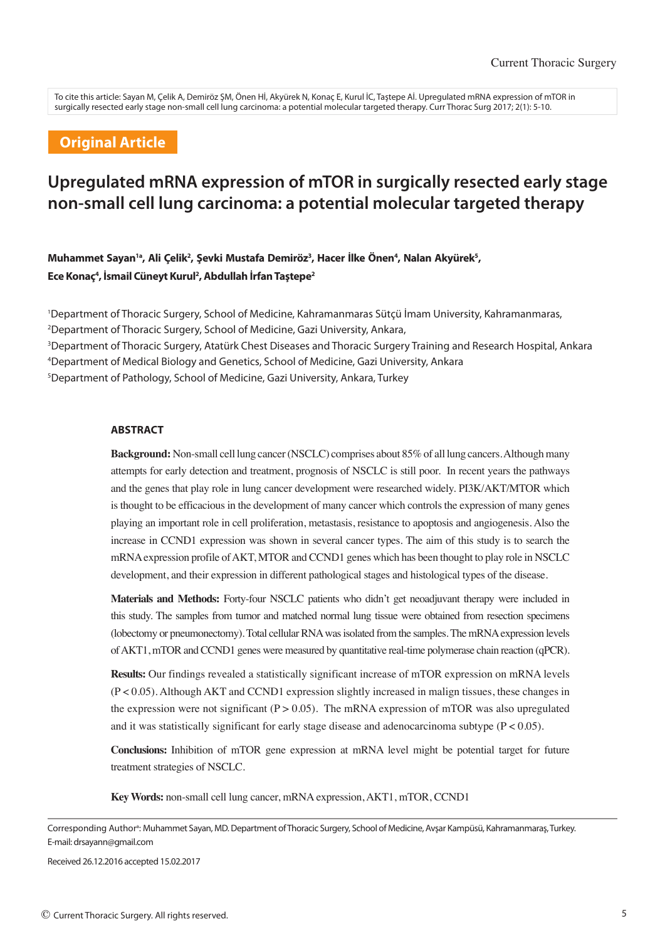To cite this article: Sayan M, Çelik A, Demiröz ŞM, Önen Hİ, Akyürek N, Konaç E, Kurul İC, Taştepe Aİ. Upregulated mRNA expression of mTOR in surgically resected early stage non-small cell lung carcinoma: a potential molecular targeted therapy. Curr Thorac Surg 2017; 2(1): 5-10.

## **Original Article**

# **Upregulated mRNA expression of mTOR in surgically resected early stage non-small cell lung carcinoma: a potential molecular targeted therapy**

Muhammet Sayan<sup>1a</sup>, Ali Çelik<sup>2</sup>, Şevki Mustafa Demiröz<sup>3</sup>, Hacer İlke Önen<sup>4</sup>, Nalan Akyürek<sup>s</sup>, **Ece Konaç4 , İsmail Cüneyt Kurul2 , Abdullah İrfan Taştepe2**

 Department of Thoracic Surgery, School of Medicine, Kahramanmaras Sütçü İmam University, Kahramanmaras, Department of Thoracic Surgery, School of Medicine, Gazi University, Ankara, Department of Thoracic Surgery, Atatürk Chest Diseases and Thoracic Surgery Training and Research Hospital, Ankara Department of Medical Biology and Genetics, School of Medicine, Gazi University, Ankara Department of Pathology, School of Medicine, Gazi University, Ankara, Turkey

#### **ABSTRACT**

**Background:** Non-small cell lung cancer (NSCLC) comprises about 85% of all lung cancers. Although many attempts for early detection and treatment, prognosis of NSCLC is still poor. In recent years the pathways and the genes that play role in lung cancer development were researched widely. PI3K/AKT/MTOR which is thought to be efficacious in the development of many cancer which controls the expression of many genes playing an important role in cell proliferation, metastasis, resistance to apoptosis and angiogenesis. Also the increase in CCND1 expression was shown in several cancer types. The aim of this study is to search the mRNA expression profile of AKT, MTOR and CCND1 genes which has been thought to play role in NSCLC development, and their expression in different pathological stages and histological types of the disease.

**Materials and Methods:** Forty-four NSCLC patients who didn't get neoadjuvant therapy were included in this study. The samples from tumor and matched normal lung tissue were obtained from resection specimens (lobectomy or pneumonectomy). Total cellular RNA was isolated from the samples. The mRNA expression levels of AKT1, mTOR and CCND1 genes were measured by quantitative real-time polymerase chain reaction (qPCR).

**Results:** Our findings revealed a statistically significant increase of mTOR expression on mRNA levels (P < 0.05). Although AKT and CCND1 expression slightly increased in malign tissues, these changes in the expression were not significant ( $P > 0.05$ ). The mRNA expression of mTOR was also upregulated and it was statistically significant for early stage disease and adenocarcinoma subtype  $(P < 0.05)$ .

**Conclusions:** Inhibition of mTOR gene expression at mRNA level might be potential target for future treatment strategies of NSCLC.

**Key Words:** non-small cell lung cancer, mRNA expression, AKT1, mTOR, CCND1

Corresponding Author<sup>a</sup>: Muhammet Sayan, MD. Department of Thoracic Surgery, School of Medicine, Avşar Kampüsü, Kahramanmaraş, Turkey. E-mail: drsayann@gmail.com

Received 26.12.2016 accepted 15.02.2017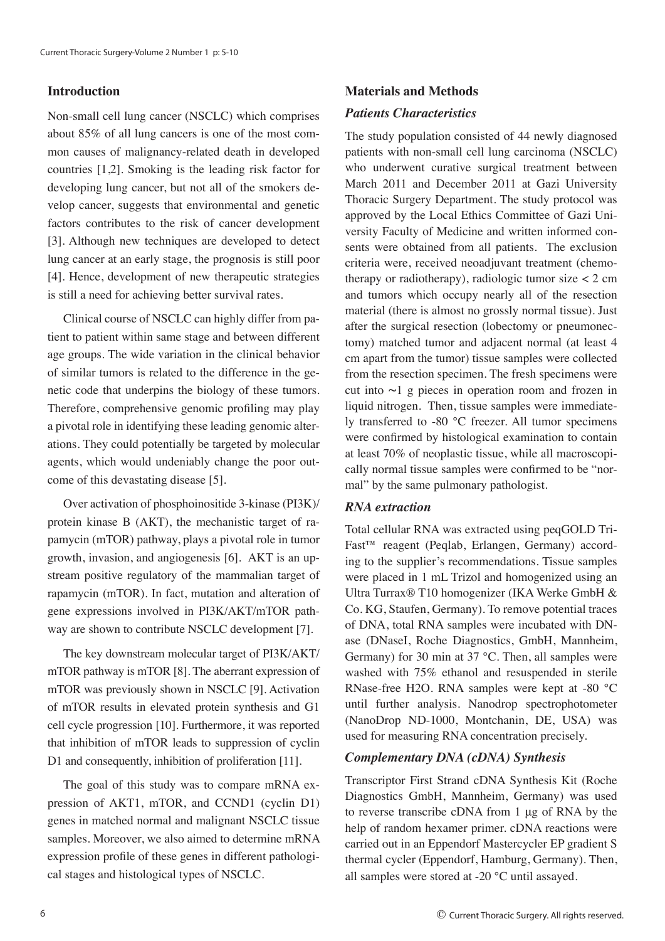## **Introduction**

Non-small cell lung cancer (NSCLC) which comprises about 85% of all lung cancers is one of the most common causes of malignancy-related death in developed countries [1,2]. Smoking is the leading risk factor for developing lung cancer, but not all of the smokers develop cancer, suggests that environmental and genetic factors contributes to the risk of cancer development [3]. Although new techniques are developed to detect lung cancer at an early stage, the prognosis is still poor [4]. Hence, development of new therapeutic strategies is still a need for achieving better survival rates.

Clinical course of NSCLC can highly differ from patient to patient within same stage and between different age groups. The wide variation in the clinical behavior of similar tumors is related to the difference in the genetic code that underpins the biology of these tumors. Therefore, comprehensive genomic profiling may play a pivotal role in identifying these leading genomic alterations. They could potentially be targeted by molecular agents, which would undeniably change the poor outcome of this devastating disease [5].

Over activation of phosphoinositide 3-kinase (PI3K)/ protein kinase B (AKT), the mechanistic target of rapamycin (mTOR) pathway, plays a pivotal role in tumor growth, invasion, and angiogenesis [6]. AKT is an upstream positive regulatory of the mammalian target of rapamycin (mTOR). In fact, mutation and alteration of gene expressions involved in PI3K/AKT/mTOR pathway are shown to contribute NSCLC development [7].

The key downstream molecular target of PI3K/AKT/ mTOR pathway is mTOR [8]. The aberrant expression of mTOR was previously shown in NSCLC [9]. Activation of mTOR results in elevated protein synthesis and G1 cell cycle progression [10]. Furthermore, it was reported that inhibition of mTOR leads to suppression of cyclin D1 and consequently, inhibition of proliferation [11].

The goal of this study was to compare mRNA expression of AKT1, mTOR, and CCND1 (cyclin D1) genes in matched normal and malignant NSCLC tissue samples. Moreover, we also aimed to determine mRNA expression profile of these genes in different pathological stages and histological types of NSCLC.

## **Materials and Methods**

## *Patients Characteristics*

The study population consisted of 44 newly diagnosed patients with non-small cell lung carcinoma (NSCLC) who underwent curative surgical treatment between March 2011 and December 2011 at Gazi University Thoracic Surgery Department. The study protocol was approved by the Local Ethics Committee of Gazi University Faculty of Medicine and written informed consents were obtained from all patients. The exclusion criteria were, received neoadjuvant treatment (chemotherapy or radiotherapy), radiologic tumor size  $<$  2 cm and tumors which occupy nearly all of the resection material (there is almost no grossly normal tissue). Just after the surgical resection (lobectomy or pneumonectomy) matched tumor and adjacent normal (at least 4 cm apart from the tumor) tissue samples were collected from the resection specimen. The fresh specimens were cut into ∼1 g pieces in operation room and frozen in liquid nitrogen. Then, tissue samples were immediately transferred to -80 °C freezer. All tumor specimens were confirmed by histological examination to contain at least 70% of neoplastic tissue, while all macroscopically normal tissue samples were confirmed to be "normal" by the same pulmonary pathologist.

## *RNA extraction*

Total cellular RNA was extracted using peqGOLD Tri-Fast™ reagent (Peqlab, Erlangen, Germany) according to the supplier's recommendations. Tissue samples were placed in 1 mL Trizol and homogenized using an Ultra Turrax® T10 homogenizer (IKA Werke GmbH & Co. KG, Staufen, Germany). To remove potential traces of DNA, total RNA samples were incubated with DNase (DNaseI, Roche Diagnostics, GmbH, Mannheim, Germany) for 30 min at 37 °C. Then, all samples were washed with 75% ethanol and resuspended in sterile RNase-free H2O. RNA samples were kept at -80 °C until further analysis. Nanodrop spectrophotometer (NanoDrop ND-1000, Montchanin, DE, USA) was used for measuring RNA concentration precisely.

#### *Complementary DNA (cDNA) Synthesis*

Transcriptor First Strand cDNA Synthesis Kit (Roche Diagnostics GmbH, Mannheim, Germany) was used to reverse transcribe cDNA from 1 μg of RNA by the help of random hexamer primer. cDNA reactions were carried out in an Eppendorf Mastercycler EP gradient S thermal cycler (Eppendorf, Hamburg, Germany). Then, all samples were stored at -20 °C until assayed.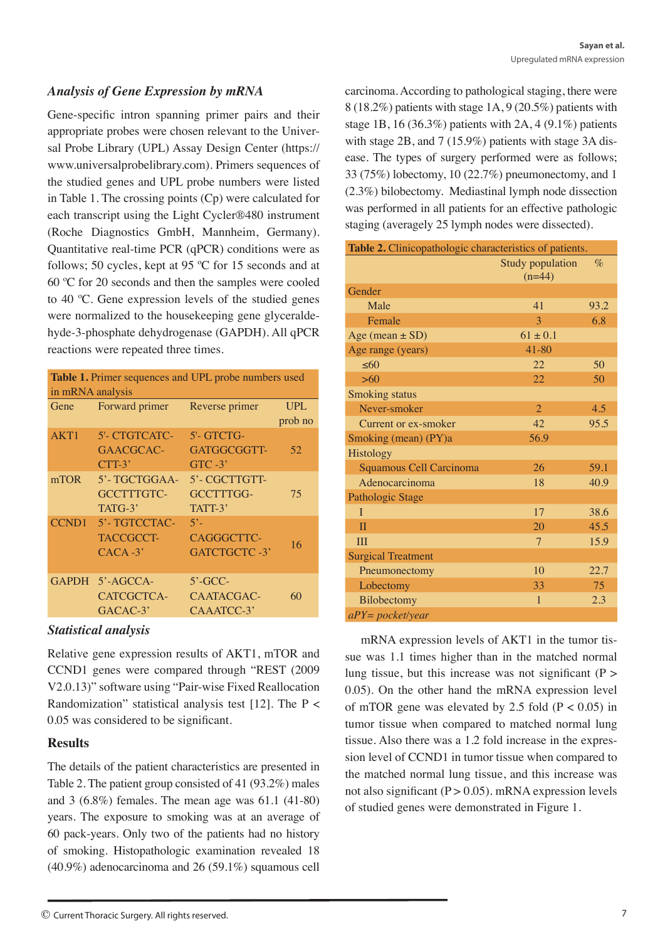## *Analysis of Gene Expression by mRNA*

Gene-specific intron spanning primer pairs and their appropriate probes were chosen relevant to the Universal Probe Library (UPL) Assay Design Center (https:// www.universalprobelibrary.com). Primers sequences of the studied genes and UPL probe numbers were listed in Table 1. The crossing points (Cp) were calculated for each transcript using the Light Cycler®480 instrument (Roche Diagnostics GmbH, Mannheim, Germany). Quantitative real-time PCR (qPCR) conditions were as follows; 50 cycles, kept at 95 ºC for 15 seconds and at 60 ºC for 20 seconds and then the samples were cooled to 40 ºC. Gene expression levels of the studied genes were normalized to the housekeeping gene glyceraldehyde-3-phosphate dehydrogenase (GAPDH). All qPCR reactions were repeated three times.

| Table 1. Primer sequences and UPL probe numbers used<br>in mRNA analysis |                                                     |                                         |                       |  |
|--------------------------------------------------------------------------|-----------------------------------------------------|-----------------------------------------|-----------------------|--|
| Gene                                                                     | Forward primer                                      | Reverse primer                          | <b>UPL</b><br>prob no |  |
| AKT1                                                                     | <b>5'- CTGTCATC-</b><br>GAACGCAC-<br>$CTT-3'$       | 5'- GTCTG-<br>GATGGCGGTT-<br>$GTC -3'$  | 52                    |  |
| mTOR                                                                     | 5'-TGCTGGAA-<br>GCCTTTGTC-<br>TATG-3'               | 5'- CGCTTGTT-<br>GCCTTTGG-<br>TATT-3'   | 75                    |  |
|                                                                          | CCND1 5'-TGTCCTAC-<br><b>TACCGCCT-</b><br>$CACA-3'$ | $5^\circ$<br>CAGGGCTTC-<br>GATCTGCTC-3' | 16                    |  |
|                                                                          | GAPDH 5'-AGCCA-<br>CATCGCTCA-<br>$GACAC-3'$         | $5'$ -GCC-<br>CAATACGAC-<br>CAAATCC-3'  | 60                    |  |

#### *Statistical analysis*

Relative gene expression results of AKT1, mTOR and CCND1 genes were compared through "REST (2009 V2.0.13)" software using "Pair-wise Fixed Reallocation Randomization" statistical analysis test [12]. The  $P \lt \mathbb{R}$ 0.05 was considered to be significant.

#### **Results**

The details of the patient characteristics are presented in Table 2. The patient group consisted of 41 (93.2%) males and 3 (6.8%) females. The mean age was 61.1 (41-80) years. The exposure to smoking was at an average of 60 pack-years. Only two of the patients had no history of smoking. Histopathologic examination revealed 18 (40.9%) adenocarcinoma and 26 (59.1%) squamous cell

carcinoma. According to pathological staging, there were 8 (18.2%) patients with stage 1A, 9 (20.5%) patients with stage 1B, 16 (36.3%) patients with 2A, 4 (9.1%) patients with stage 2B, and 7 (15.9%) patients with stage 3A disease. The types of surgery performed were as follows; 33 (75%) lobectomy, 10 (22.7%) pneumonectomy, and 1 (2.3%) bilobectomy. Mediastinal lymph node dissection was performed in all patients for an effective pathologic staging (averagely 25 lymph nodes were dissected).

| Table 2. Clinicopathologic characteristics of patients. |                                     |      |  |
|---------------------------------------------------------|-------------------------------------|------|--|
|                                                         | <b>Study population</b><br>$(n=44)$ | $\%$ |  |
| Gender                                                  |                                     |      |  |
| Male                                                    | 41                                  | 93.2 |  |
| Female                                                  | 3                                   | 6.8  |  |
| Age (mean $\pm$ SD)                                     | $61 \pm 0.1$                        |      |  |
| Age range (years)                                       | $41 - 80$                           |      |  |
| $\leq 60$                                               | 22                                  | 50   |  |
| >60                                                     | 22                                  | 50   |  |
| <b>Smoking status</b>                                   |                                     |      |  |
| Never-smoker                                            | $\overline{2}$                      | 4.5  |  |
| Current or ex-smoker                                    | 42                                  | 95.5 |  |
| Smoking (mean) (PY)a                                    | 56.9                                |      |  |
| Histology                                               |                                     |      |  |
| Squamous Cell Carcinoma                                 | 26                                  | 59.1 |  |
| Adenocarcinoma                                          | 18                                  | 40.9 |  |
| Pathologic Stage                                        |                                     |      |  |
| L                                                       | 17                                  | 38.6 |  |
| $\mathbf{I}$                                            | 20                                  | 45.5 |  |
| III                                                     | $\tau$                              | 15.9 |  |
| <b>Surgical Treatment</b>                               |                                     |      |  |
| Pneumonectomy                                           | 10                                  | 22.7 |  |
| Lobectomy                                               | 33                                  | 75   |  |
| Bilobectomy                                             | $\mathbf{1}$                        | 2.3  |  |
| $aPY = pocket/year$                                     |                                     |      |  |

mRNA expression levels of AKT1 in the tumor tissue was 1.1 times higher than in the matched normal lung tissue, but this increase was not significant  $(P >$ 0.05). On the other hand the mRNA expression level of mTOR gene was elevated by 2.5 fold  $(P < 0.05)$  in tumor tissue when compared to matched normal lung tissue. Also there was a 1.2 fold increase in the expression level of CCND1 in tumor tissue when compared to the matched normal lung tissue, and this increase was not also significant  $(P > 0.05)$ . mRNA expression levels of studied genes were demonstrated in Figure 1.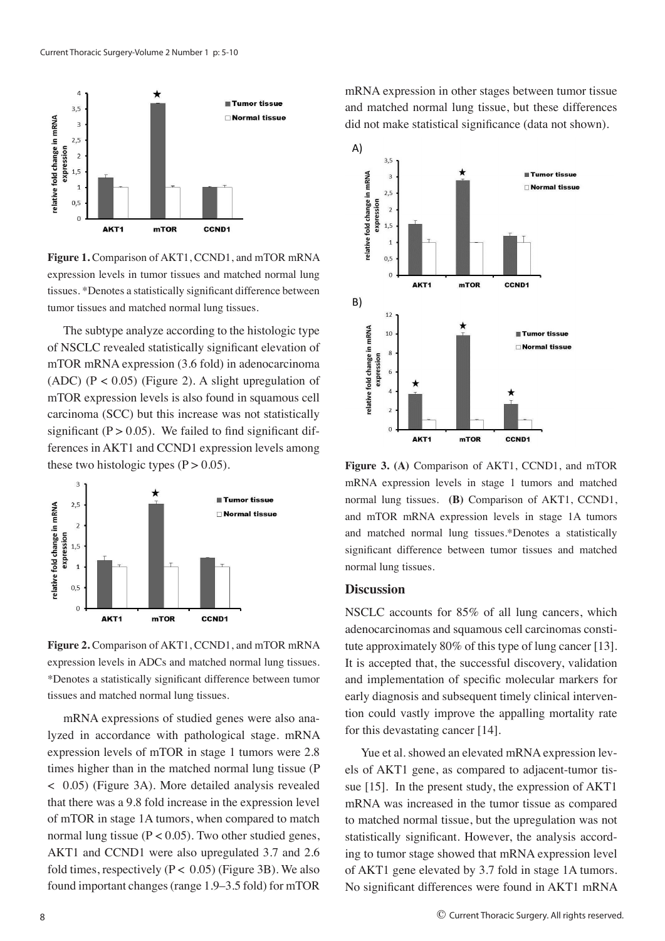

**Figure 1.** Comparison of AKT1, CCND1, and mTOR mRNA expression levels in tumor tissues and matched normal lung tissues. \*Denotes a statistically significant difference between tumor tissues and matched normal lung tissues.

The subtype analyze according to the histologic type of NSCLC revealed statistically significant elevation of mTOR mRNA expression (3.6 fold) in adenocarcinoma (ADC) ( $P < 0.05$ ) (Figure 2). A slight upregulation of mTOR expression levels is also found in squamous cell carcinoma (SCC) but this increase was not statistically significant  $(P > 0.05)$ . We failed to find significant differences in AKT1 and CCND1 expression levels among these two histologic types  $(P > 0.05)$ .



**Figure 2.** Comparison of AKT1, CCND1, and mTOR mRNA expression levels in ADCs and matched normal lung tissues. \*Denotes a statistically significant difference between tumor tissues and matched normal lung tissues.

mRNA expressions of studied genes were also analyzed in accordance with pathological stage. mRNA expression levels of mTOR in stage 1 tumors were 2.8 times higher than in the matched normal lung tissue (P < 0.05) (Figure 3A). More detailed analysis revealed that there was a 9.8 fold increase in the expression level of mTOR in stage 1A tumors, when compared to match normal lung tissue ( $P < 0.05$ ). Two other studied genes, AKT1 and CCND1 were also upregulated 3.7 and 2.6 fold times, respectively ( $P < 0.05$ ) (Figure 3B). We also found important changes (range 1.9–3.5 fold) for mTOR

mRNA expression in other stages between tumor tissue and matched normal lung tissue, but these differences did not make statistical significance (data not shown).



**Figure 3. (A)** Comparison of AKT1, CCND1, and mTOR mRNA expression levels in stage 1 tumors and matched normal lung tissues. **(B)** Comparison of AKT1, CCND1, and mTOR mRNA expression levels in stage 1A tumors and matched normal lung tissues.\*Denotes a statistically significant difference between tumor tissues and matched normal lung tissues.

#### **Discussion**

NSCLC accounts for 85% of all lung cancers, which adenocarcinomas and squamous cell carcinomas constitute approximately 80% of this type of lung cancer [13]. It is accepted that, the successful discovery, validation and implementation of specific molecular markers for early diagnosis and subsequent timely clinical intervention could vastly improve the appalling mortality rate for this devastating cancer [14].

Yue et al. showed an elevated mRNA expression levels of AKT1 gene, as compared to adjacent-tumor tissue [15]. In the present study, the expression of AKT1 mRNA was increased in the tumor tissue as compared to matched normal tissue, but the upregulation was not statistically significant. However, the analysis according to tumor stage showed that mRNA expression level of AKT1 gene elevated by 3.7 fold in stage 1A tumors. No significant differences were found in AKT1 mRNA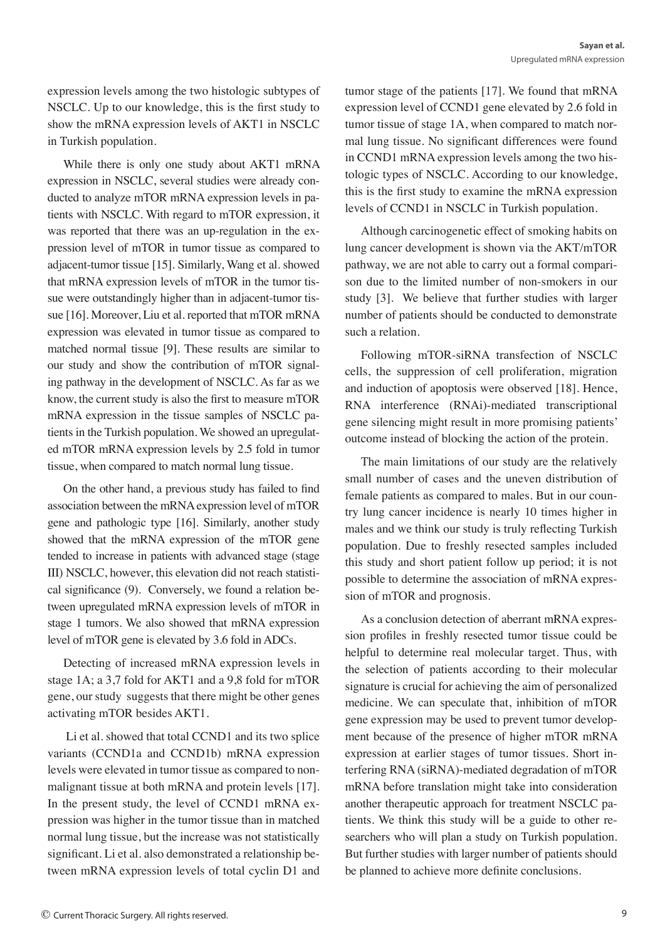expression levels among the two histologic subtypes of NSCLC. Up to our knowledge, this is the first study to show the mRNA expression levels of AKT1 in NSCLC in Turkish population.

While there is only one study about AKT1 mRNA expression in NSCLC, several studies were already conducted to analyze mTOR mRNA expression levels in patients with NSCLC. With regard to mTOR expression, it was reported that there was an up-regulation in the expression level of mTOR in tumor tissue as compared to adjacent-tumor tissue [15]. Similarly, Wang et al. showed that mRNA expression levels of mTOR in the tumor tissue were outstandingly higher than in adjacent-tumor tissue [16]. Moreover, Liu et al. reported that mTOR mRNA expression was elevated in tumor tissue as compared to matched normal tissue [9]. These results are similar to our study and show the contribution of mTOR signaling pathway in the development of NSCLC. As far as we know, the current study is also the first to measure mTOR mRNA expression in the tissue samples of NSCLC patients in the Turkish population. We showed an upregulated mTOR mRNA expression levels by 2.5 fold in tumor tissue, when compared to match normal lung tissue.

On the other hand, a previous study has failed to find association between the mRNA expression level of mTOR gene and pathologic type [16]. Similarly, another study showed that the mRNA expression of the mTOR gene tended to increase in patients with advanced stage (stage III) NSCLC, however, this elevation did not reach statistical significance (9). Conversely, we found a relation between upregulated mRNA expression levels of mTOR in stage 1 tumors. We also showed that mRNA expression level of mTOR gene is elevated by 3.6 fold in ADCs.

Detecting of increased mRNA expression levels in stage 1A; a 3,7 fold for AKT1 and a 9,8 fold for mTOR gene, our study suggests that there might be other genes activating mTOR besides AKT1.

 Li et al. showed that total CCND1 and its two splice variants (CCND1a and CCND1b) mRNA expression levels were elevated in tumor tissue as compared to nonmalignant tissue at both mRNA and protein levels [17]. In the present study, the level of CCND1 mRNA expression was higher in the tumor tissue than in matched normal lung tissue, but the increase was not statistically significant. Li et al. also demonstrated a relationship between mRNA expression levels of total cyclin D1 and tumor stage of the patients [17]. We found that mRNA expression level of CCND1 gene elevated by 2.6 fold in tumor tissue of stage 1A, when compared to match normal lung tissue. No significant differences were found in CCND1 mRNA expression levels among the two histologic types of NSCLC. According to our knowledge, this is the first study to examine the mRNA expression levels of CCND1 in NSCLC in Turkish population.

Although carcinogenetic effect of smoking habits on lung cancer development is shown via the AKT/mTOR pathway, we are not able to carry out a formal comparison due to the limited number of non-smokers in our study [3]. We believe that further studies with larger number of patients should be conducted to demonstrate such a relation.

Following mTOR-siRNA transfection of NSCLC cells, the suppression of cell proliferation, migration and induction of apoptosis were observed [18]. Hence, RNA interference (RNAi)-mediated transcriptional gene silencing might result in more promising patients' outcome instead of blocking the action of the protein.

The main limitations of our study are the relatively small number of cases and the uneven distribution of female patients as compared to males. But in our country lung cancer incidence is nearly 10 times higher in males and we think our study is truly reflecting Turkish population. Due to freshly resected samples included this study and short patient follow up period; it is not possible to determine the association of mRNA expression of mTOR and prognosis.

As a conclusion detection of aberrant mRNA expression profiles in freshly resected tumor tissue could be helpful to determine real molecular target. Thus, with the selection of patients according to their molecular signature is crucial for achieving the aim of personalized medicine. We can speculate that, inhibition of mTOR gene expression may be used to prevent tumor development because of the presence of higher mTOR mRNA expression at earlier stages of tumor tissues. Short interfering RNA (siRNA)-mediated degradation of mTOR mRNA before translation might take into consideration another therapeutic approach for treatment NSCLC patients. We think this study will be a guide to other researchers who will plan a study on Turkish population. But further studies with larger number of patients should be planned to achieve more definite conclusions.